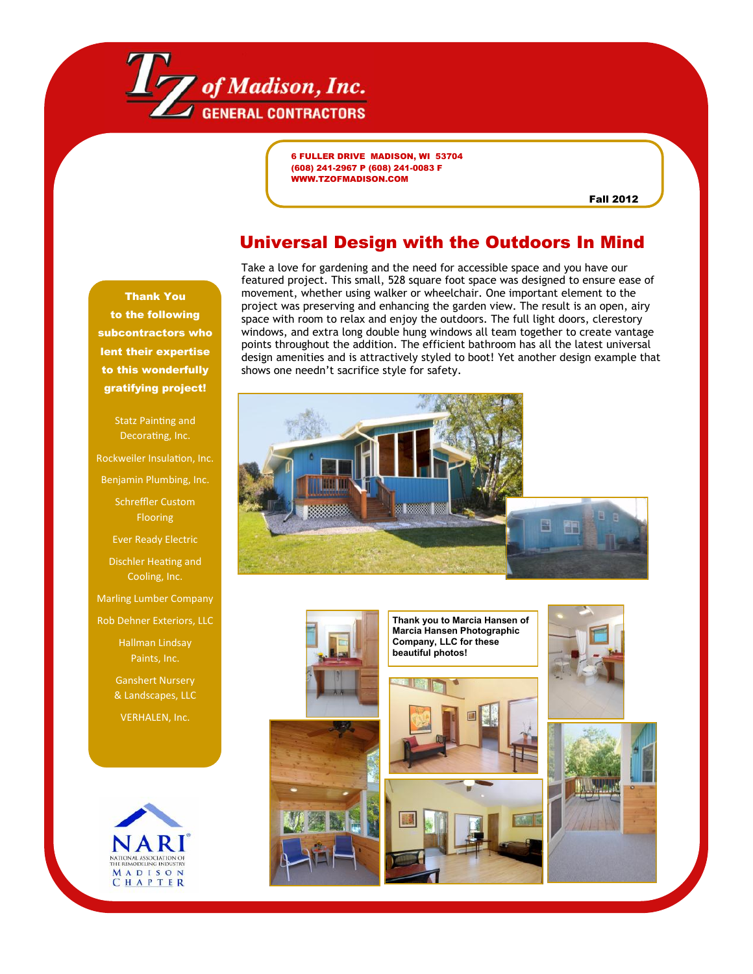

6 FULLER DRIVE MADISON, WI 53704 (608) 241-2967 P (608) 241-0083 F WWW.TZOFMADISON.COM

Fall 2012

## Universal Design with the Outdoors In Mind

Thank You to the following subcontractors who lent their expertise to this wonderfully gratifying project!

> Statz Painting and Decorating, Inc.

Rockweiler Insulation, Inc.

Benjamin Plumbing, Inc.

Schreffler Custom Flooring

Ever Ready Electric

Dischler Heating and Cooling, Inc.

Marling Lumber Company

Rob Dehner Exteriors, LLC

Hallman Lindsay Paints, Inc.

Ganshert Nursery & Landscapes, LLC

VERHALEN, Inc.



Take a love for gardening and the need for accessible space and you have our featured project. This small, 528 square foot space was designed to ensure ease of movement, whether using walker or wheelchair. One important element to the project was preserving and enhancing the garden view. The result is an open, airy space with room to relax and enjoy the outdoors. The full light doors, clerestory windows, and extra long double hung windows all team together to create vantage points throughout the addition. The efficient bathroom has all the latest universal design amenities and is attractively styled to boot! Yet another design example that shows one needn't sacrifice style for safety.



**Thank you to Marcia Hansen of Marcia Hansen Photographic Company, LLC for these beautiful photos!**